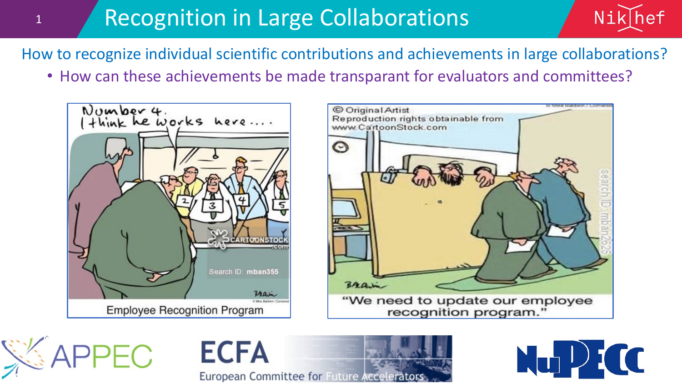## Recognition in Large Collaborations



How to recognize individual scientific contributions and achievements in large collaborations?

• How can these achievements be made transparant for evaluators and committees?



1





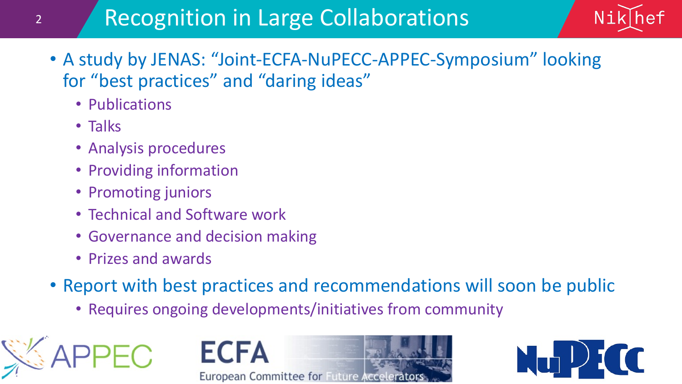## Recognition in Large Collaborations



- A study by JENAS: "Joint-ECFA-NuPECC-APPEC-Symposium" looking for "best practices" and "daring ideas"
	- Publications
	- Talks
	- Analysis procedures
	- Providing information
	- Promoting juniors
	- Technical and Software work
	- Governance and decision making
	- Prizes and awards
- Report with best practices and recommendations will soon be public
	- Requires ongoing developments/initiatives from community



**ECFA** European Committee for Future Accelerators

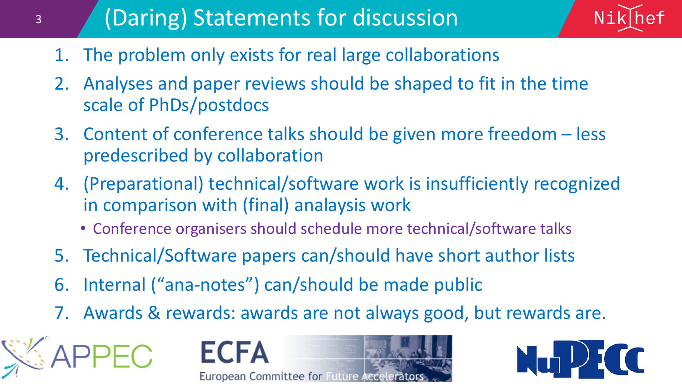## (Daring) Statements for discussion



- 1. The problem only exists for real large collaborations
- 2. Analyses and paper reviews should be shaped to fit in the time scale of PhDs/postdocs
- 3. Content of conference talks should be given more freedom less predescribed by collaboration
- 4. (Preparational) technical/software work is insufficiently recognized in comparison with (final) analaysis work
	- Conference organisers should schedule more technical/software talks
- 5. Technical/Software papers can/should have short author lists
- 6. Internal ("ana-notes") can/should be made public
- 7. Awards & rewards: awards are not always good, but rewards are.